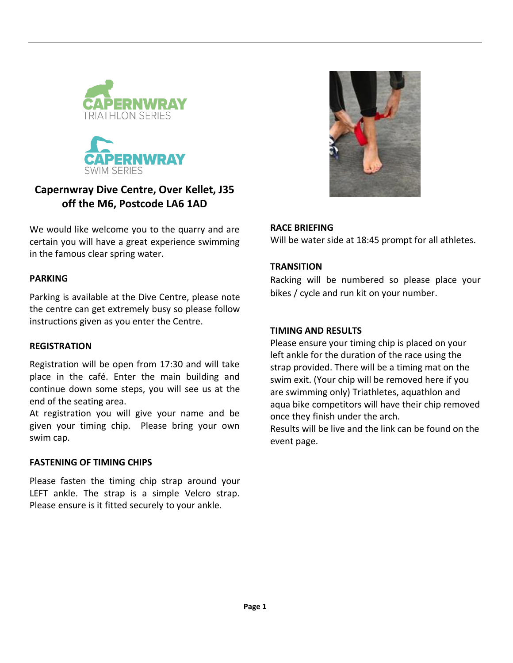



# **Capernwray Dive Centre, Over Kellet, J35 off the M6, Postcode LA6 1AD**

We would like welcome you to the quarry and are certain you will have a great experience swimming in the famous clear spring water.

### **PARKING**

Parking is available at the Dive Centre, please note the centre can get extremely busy so please follow instructions given as you enter the Centre.

### **REGISTRATION**

Registration will be open from 17:30 and will take place in the café. Enter the main building and continue down some steps, you will see us at the end of the seating area.

At registration you will give your name and be given your timing chip. Please bring your own swim cap.

## **FASTENING OF TIMING CHIPS**

Please fasten the timing chip strap around your LEFT ankle. The strap is a simple Velcro strap. Please ensure is it fitted securely to your ankle.



### **RACE BRIEFING**

Will be water side at 18:45 prompt for all athletes.

## **TRANSITION**

Racking will be numbered so please place your bikes / cycle and run kit on your number.

## **TIMING AND RESULTS**

Please ensure your timing chip is placed on your left ankle for the duration of the race using the strap provided. There will be a timing mat on the swim exit. (Your chip will be removed here if you are swimming only) Triathletes, aquathlon and aqua bike competitors will have their chip removed once they finish under the arch.

Results will be live and the link can be found on the event page.